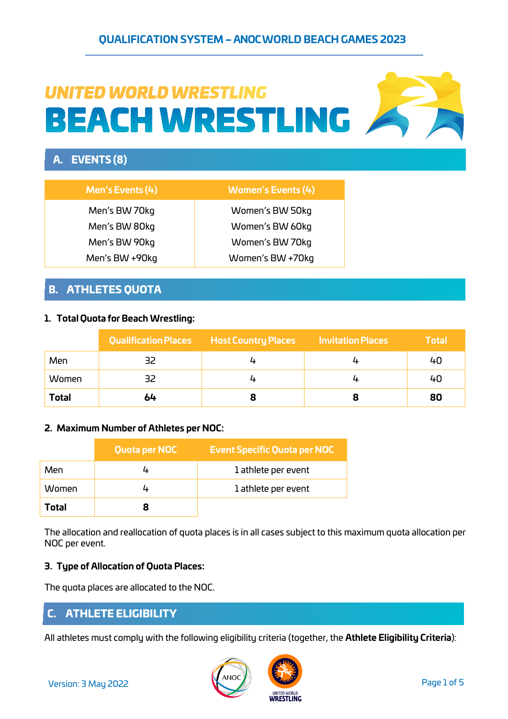# **UNITED WORLD WRESTLING BEACH WRESTLING**

# A. EVENTS (8)

| <b>Men's Events (4)</b> | <b>Women's Events (4)</b> |
|-------------------------|---------------------------|
| Men's BW 70kg           | Women's BW 50kg           |
| Men's BW 80kg           | Women's BW 60kg           |
| Men's BW 90kg           | Women's BW 70kg           |
| Men's BW +90kg          | Women's BW +70kg          |

## B. ATHLETES QUOTA

## **1. Total Quota for Beach Wrestling:**

|              | <b>Qualification Places</b> | <b>Host Country Places</b> | <b>Invitation Places</b> | <b>Total</b> |
|--------------|-----------------------------|----------------------------|--------------------------|--------------|
| Men          |                             |                            |                          | 40           |
| Women        | 32                          |                            |                          | 40           |
| <b>Total</b> | 64                          |                            |                          | 80           |

## **2. Maximum Number of Athletes per NOC:**

|       | Quota per NOC | <b>Event Specific Quota per NOC</b> |
|-------|---------------|-------------------------------------|
| Men   |               | 1 athlete per event                 |
| Women |               | 1 athlete per event                 |
| Total |               |                                     |

The allocation and reallocation of quota places is in all cases subject to this maximum quota allocation per NOC per event.

## **3. Type of Allocation of Quota Places:**

The quota places are allocated to the NOC.

## C. ATHLETE ELIGIBILITY

All athletes must comply with the following eligibility criteria (together, the **Athlete Eligibility Criteria**):



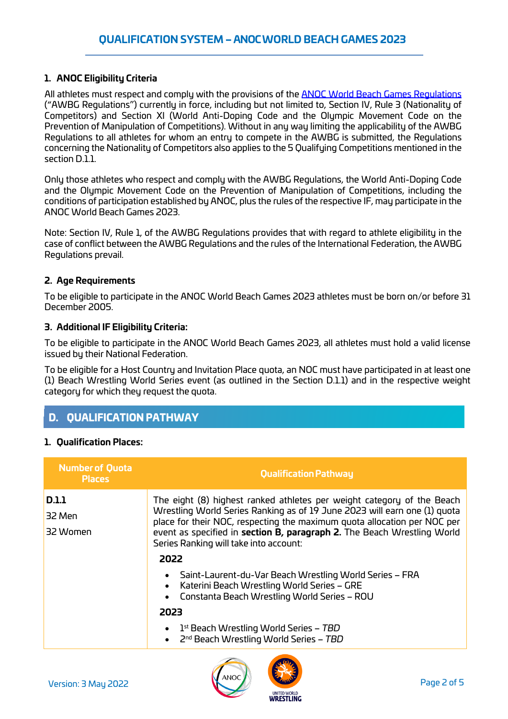### **1. ANOC Eligibility Criteria**

All athletes must respect and comply with the provisions of the **ANOC World Beach Games Regulations** ("AWBG Regulations") currently in force, including but not limited to, Section IV, Rule 3 (Nationality of Competitors) and Section XI (World Anti-Doping Code and the Olympic Movement Code on the Prevention of Manipulation of Competitions). Without in any way limiting the applicability of the AWBG Regulations to all athletes for whom an entry to compete in the AWBG is submitted, the Regulations concerning the Nationality of Competitors also applies to the 5 Qualifying Competitions mentioned in the section D.1.1.

Only those athletes who respect and comply with the AWBG Regulations, the World Anti-Doping Code and the Olympic Movement Code on the Prevention of Manipulation of Competitions, including the conditions of participation established by ANOC, plus the rules of the respective IF, may participate in the ANOC World Beach Games 2023.

Note: Section IV, Rule 1, of the AWBG Regulations provides that with regard to athlete eligibility in the case of conflict between the AWBG Regulations and the rules of the International Federation, the AWBG Regulations prevail.

#### **2. Age Requirements**

To be eligible to participate in the ANOC World Beach Games 2023 athletes must be born on/or before 31 December 2005.

#### **3. Additional IF Eligibility Criteria:**

To be eligible to participate in the ANOC World Beach Games 2023, all athletes must hold a valid license issued by their National Federation.

To be eligible for a Host Country and Invitation Place quota, an NOC must have participated in at least one (1) Beach Wrestling World Series event (as outlined in the Section D.1.1) and in the respective weight category for which they request the quota.

## D. QUALIFICATION PATHWAY

#### **1. Qualification Places:**

| <b>Number of Quota</b><br><b>Places</b> | <b>Qualification Pathway</b>                                                                                                                                                                                                                                                                                                                         |
|-----------------------------------------|------------------------------------------------------------------------------------------------------------------------------------------------------------------------------------------------------------------------------------------------------------------------------------------------------------------------------------------------------|
| <b>D.1.1</b><br>32 Men<br>32 Women      | The eight (8) highest ranked athletes per weight category of the Beach<br>Wrestling World Series Ranking as of 19 June 2023 will earn one (1) quota<br>place for their NOC, respecting the maximum quota allocation per NOC per<br>event as specified in section B, paragraph 2. The Beach Wrestling World<br>Series Ranking will take into account: |
|                                         | 2022                                                                                                                                                                                                                                                                                                                                                 |
|                                         | Saint-Laurent-du-Var Beach Wrestling World Series – FRA<br>Katerini Beach Wrestling World Series - GRE<br>Constanta Beach Wrestling World Series - ROU<br>$\bullet$                                                                                                                                                                                  |
|                                         | 2023                                                                                                                                                                                                                                                                                                                                                 |
|                                         | $1st$ Beach Wrestling World Series – TBD<br>2 <sup>nd</sup> Beach Wrestling World Series - TBD                                                                                                                                                                                                                                                       |



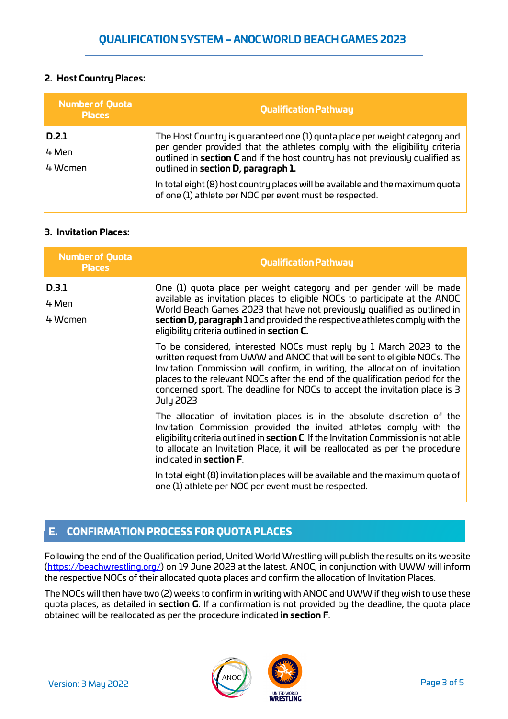## **2. Host Country Places:**

| <b>Number of Quota</b><br><b>Places</b> | Qualification Pathway                                                                                                                                                                                                                                                            |
|-----------------------------------------|----------------------------------------------------------------------------------------------------------------------------------------------------------------------------------------------------------------------------------------------------------------------------------|
| D.2.1<br>4 Men<br>4 Women               | The Host Country is guaranteed one (1) guota place per weight category and<br>per gender provided that the athletes comply with the eligibility criteria<br>outlined in section C and if the host country has not previously qualified as<br>outlined in section D, paragraph 1. |
|                                         | In total eight (8) host country places will be available and the maximum quota<br>of one (1) athlete per NOC per event must be respected.                                                                                                                                        |

### **3. Invitation Places:**

| <b>Number of Quota</b><br><b>Places</b> | <b>Qualification Pathway</b>                                                                                                                                                                                                                                                                                                                                                                                 |
|-----------------------------------------|--------------------------------------------------------------------------------------------------------------------------------------------------------------------------------------------------------------------------------------------------------------------------------------------------------------------------------------------------------------------------------------------------------------|
| D.3.1<br>4 Men<br>4 Women               | One (1) quota place per weight category and per gender will be made<br>available as invitation places to eligible NOCs to participate at the ANOC<br>World Beach Games 2023 that have not previously qualified as outlined in<br>section D, paragraph 1 and provided the respective athletes comply with the<br>eligibility criteria outlined in section C.                                                  |
|                                         | To be considered, interested NOCs must reply by 1 March 2023 to the<br>written request from UWW and ANOC that will be sent to eligible NOCs. The<br>Invitation Commission will confirm, in writing, the allocation of invitation<br>places to the relevant NOCs after the end of the qualification period for the<br>concerned sport. The deadline for NOCs to accept the invitation place is 3<br>July 2023 |
|                                         | The allocation of invitation places is in the absolute discretion of the<br>Invitation Commission provided the invited athletes comply with the<br>eligibility criteria outlined in section C. If the Invitation Commission is not able<br>to allocate an Invitation Place, it will be reallocated as per the procedure<br>indicated in section F.                                                           |
|                                         | In total eight (8) invitation places will be available and the maximum quota of<br>one (1) athlete per NOC per event must be respected.                                                                                                                                                                                                                                                                      |

# E. CONFIRMATION PROCESS FOR QUOTA PLACES

Following the end of the Qualification period, United World Wrestling will publish the results on its website [\(https://beachwrestling.org/\)](https://beachwrestling.org/) on 19 June 2023 at the latest. ANOC, in conjunction with UWW will inform the respective NOCs of their allocated quota places and confirm the allocation of Invitation Places.

The NOCs will then have two (2) weeks to confirm in writing with ANOC and UWW if they wish to use these quota places, as detailed in **section G**. If a confirmation is not provided by the deadline, the quota place obtained will be reallocated as per the procedure indicated **in section F**.

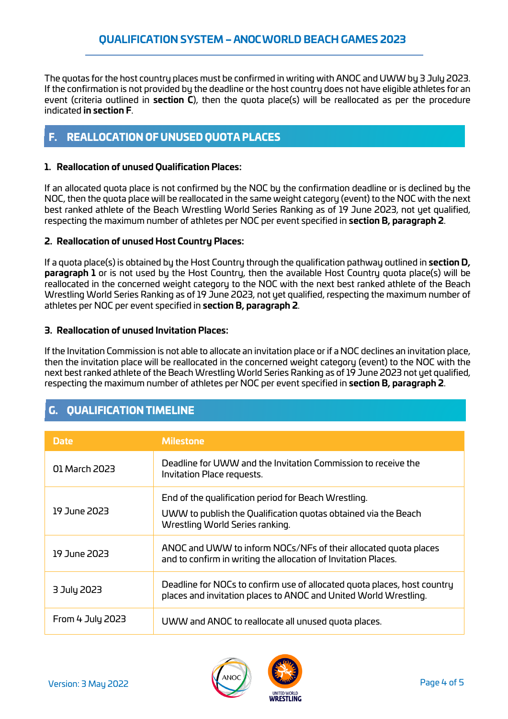The quotas for the host country places must be confirmed in writing with ANOC and UWW by 3 July 2023. If the confirmation is not provided by the deadline or the host country does not have eligible athletes for an event (criteria outlined in **section C**), then the quota place(s) will be reallocated as per the procedure indicated **in section F**.

# F. REALLOCATION OF UNUSED QUOTA PLACES

### **1. Reallocation of unused Qualification Places:**

If an allocated quota place is not confirmed by the NOC by the confirmation deadline or is declined by the NOC, then the quota place will be reallocated in the same weight category (event) to the NOC with the next best ranked athlete of the Beach Wrestling World Series Ranking as of 19 June 2023, not yet qualified, respecting the maximum number of athletes per NOC per event specified in **section B, paragraph 2**.

### **2. Reallocation of unused Host Country Places:**

If a quota place(s) is obtained by the Host Country through the qualification pathway outlined in **section D, paragraph 1** or is not used by the Host Country, then the available Host Country quota place(s) will be reallocated in the concerned weight category to the NOC with the next best ranked athlete of the Beach Wrestling World Series Ranking as of 19 June 2023, not yet qualified, respecting the maximum number of athletes per NOC per event specified in **section B, paragraph 2**.

### **3. Reallocation of unused Invitation Places:**

If the Invitation Commission is not able to allocate an invitation place or if a NOC declines an invitation place, then the invitation place will be reallocated in the concerned weight category (event) to the NOC with the next best ranked athlete of the Beach Wrestling World Series Ranking as of 19 June 2023 not yet qualified, respecting the maximum number of athletes per NOC per event specified in **section B, paragraph 2**.

# G. QUALIFICATION TIMELINE

| <b>Date</b>      | <b>Milestone</b>                                                                                                                             |
|------------------|----------------------------------------------------------------------------------------------------------------------------------------------|
| 01 March 2023    | Deadline for UWW and the Invitation Commission to receive the<br>Invitation Place requests.                                                  |
|                  | End of the qualification period for Beach Wrestling.                                                                                         |
| 19 June 2023     | UWW to publish the Qualification quotas obtained via the Beach<br>Wrestling World Series ranking.                                            |
| 19 June 2023     | ANOC and UWW to inform NOCs/NFs of their allocated quota places<br>and to confirm in writing the allocation of Invitation Places.            |
| 3 July 2023      | Deadline for NOCs to confirm use of allocated quota places, host country<br>places and invitation places to ANOC and United World Wrestling. |
| From 4 July 2023 | UWW and ANOC to reallocate all unused quota places.                                                                                          |